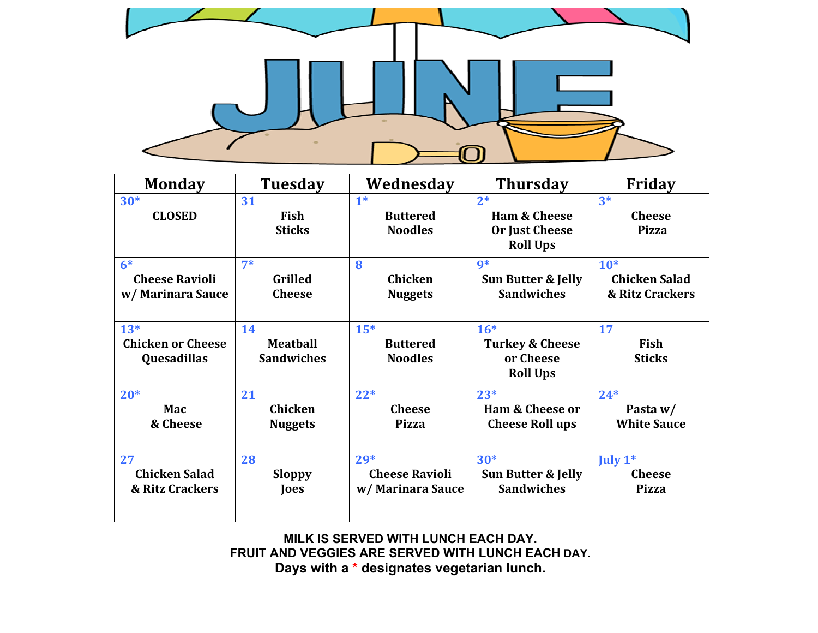

| <b>Monday</b>            | <b>Tuesday</b>    | Wednesday             | <b>Thursday</b>            | Friday               |
|--------------------------|-------------------|-----------------------|----------------------------|----------------------|
| $30*$                    | 31                | $1*$                  | $2*$                       | $3*$                 |
| <b>CLOSED</b>            | Fish              | <b>Buttered</b>       | <b>Ham &amp; Cheese</b>    | <b>Cheese</b>        |
|                          | <b>Sticks</b>     | <b>Noodles</b>        | <b>Or Just Cheese</b>      | <b>Pizza</b>         |
|                          |                   |                       | <b>Roll Ups</b>            |                      |
| $6*$                     | $7*$              | 8                     | $9*$                       | $10*$                |
| <b>Cheese Ravioli</b>    | <b>Grilled</b>    | Chicken               | Sun Butter & Jelly         | <b>Chicken Salad</b> |
| w/ Marinara Sauce        | <b>Cheese</b>     | <b>Nuggets</b>        | <b>Sandwiches</b>          | & Ritz Crackers      |
|                          |                   |                       |                            |                      |
| $13*$                    | 14                | $15*$                 | $16*$                      | 17                   |
| <b>Chicken or Cheese</b> | <b>Meatball</b>   | <b>Buttered</b>       | <b>Turkey &amp; Cheese</b> | Fish                 |
| Quesadillas              | <b>Sandwiches</b> | <b>Noodles</b>        | or Cheese                  | <b>Sticks</b>        |
|                          |                   |                       | <b>Roll Ups</b>            |                      |
| $20*$                    | 21                | $22*$                 | $23*$                      | $24*$                |
| Mac                      | <b>Chicken</b>    | <b>Cheese</b>         | <b>Ham &amp; Cheese or</b> | Pasta w/             |
| & Cheese                 | <b>Nuggets</b>    | <b>Pizza</b>          | <b>Cheese Roll ups</b>     | <b>White Sauce</b>   |
|                          |                   |                       |                            |                      |
| 27                       | 28                | $29*$                 | $30*$                      | July $1^*$           |
| <b>Chicken Salad</b>     | <b>Sloppy</b>     | <b>Cheese Ravioli</b> | Sun Butter & Jelly         | <b>Cheese</b>        |
| & Ritz Crackers          | Joes              | w/ Marinara Sauce     | <b>Sandwiches</b>          | <b>Pizza</b>         |
|                          |                   |                       |                            |                      |

**MILK IS SERVED WITH LUNCH EACH DAY. FRUIT AND VEGGIES ARE SERVED WITH LUNCH EACH DAY. Days with a \* designates vegetarian lunch.**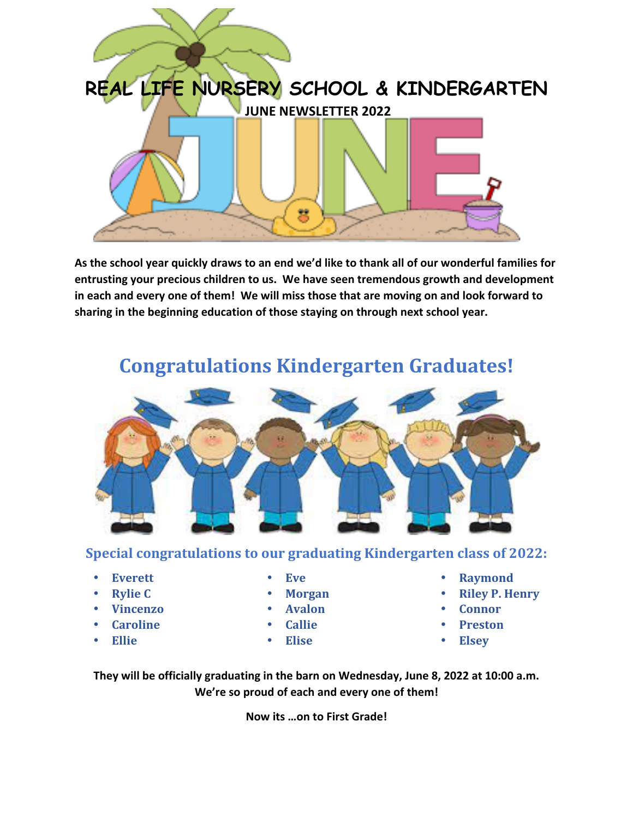

As the school year quickly draws to an end we'd like to thank all of our wonderful families for entrusting your precious children to us. We have seen tremendous growth and development in each and every one of them! We will miss those that are moving on and look forward to sharing in the beginning education of those staying on through next school year.



## **Congratulations Kindergarten Graduates!**

## **Special congratulations to our graduating Kindergarten class of 2022:**

- **Everett**
- **Rylie C**
- **Vincenzo**
- **Caroline**
- **Ellie**
- **Eve**
- **Morgan**
- **Avalon**
- **Callie**
- **Elise**
- **Raymond**
- **Riley P. Henry**
- **Connor**
- **Preston**
- **Elsey**

They will be officially graduating in the barn on Wednesday, June 8, 2022 at 10:00 a.m. We're so proud of each and every one of them!

**Now its ...on to First Grade!**